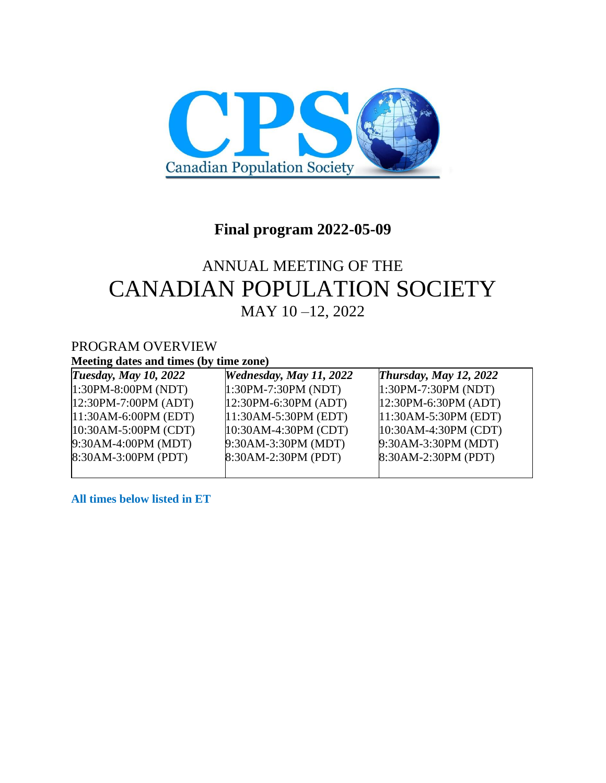

# **Final program 2022-05-09**

# ANNUAL MEETING OF THE CANADIAN POPULATION SOCIETY MAY 10 –12, 2022

### PROGRAM OVERVIEW **Meeting dates and times (by time zone)**

| <b>Tuesday, May 10, 2022</b> | <b>Wednesday, May 11, 2022</b> | Thursday, May 12, 2022   |
|------------------------------|--------------------------------|--------------------------|
| $1:30PM - 8:00PM (NDT)$      | $1:30PM-7:30PM (NDT)$          | $1:30PM-7:30PM (NDT)$    |
| $12:30PM - 7:00PM (ADT)$     | $12:30PM - 6:30PM (ADT)$       | $12:30PM - 6:30PM (ADT)$ |
| $ 11:30AM-6:00PM$ (EDT)      | $11:30AM-5:30PM$ (EDT)         | $11:30AM-5:30PM$ (EDT)   |
| $10:30AM-5:00PM$ (CDT)       | $10:30AM-4:30PM (CDT)$         | $10:30AM-4:30PM (CDT)$   |
| 9:30AM-4:00PM (MDT)          | 9:30AM-3:30PM (MDT)            | 9:30AM-3:30PM (MDT)      |
| 8:30AM-3:00PM (PDT)          | 8:30AM-2:30PM (PDT)            | 8:30AM-2:30PM (PDT)      |
|                              |                                |                          |

**All times below listed in ET**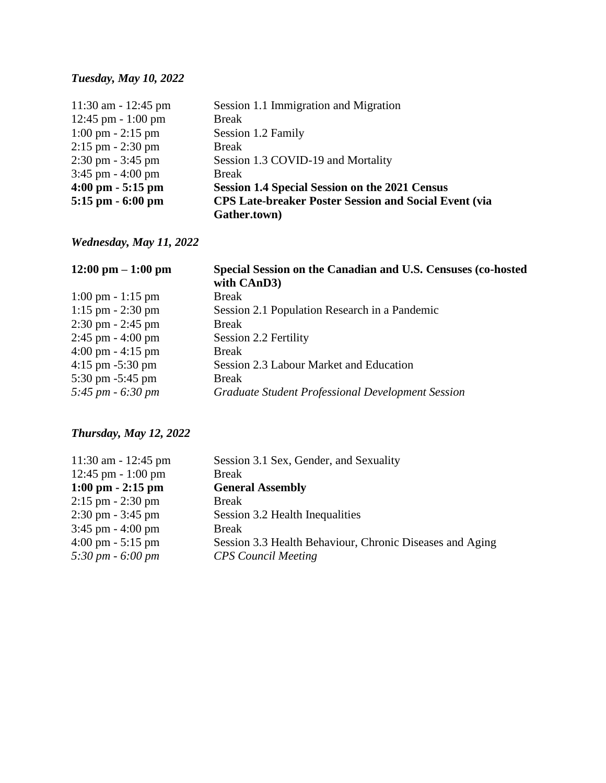# *Tuesday, May 10, 2022*

| 11:30 am - 12:45 pm                 | Session 1.1 Immigration and Migration                        |  |
|-------------------------------------|--------------------------------------------------------------|--|
| 12:45 pm $-1:00$ pm                 | <b>Break</b>                                                 |  |
| $1:00 \text{ pm} - 2:15 \text{ pm}$ | Session 1.2 Family                                           |  |
| $2:15$ pm $-2:30$ pm                | <b>Break</b>                                                 |  |
| $2:30 \text{ pm} - 3:45 \text{ pm}$ | Session 1.3 COVID-19 and Mortality                           |  |
| $3:45$ pm $- 4:00$ pm               | <b>Break</b>                                                 |  |
| $4:00 \text{ pm} - 5:15 \text{ pm}$ | <b>Session 1.4 Special Session on the 2021 Census</b>        |  |
| $5:15$ pm $-6:00$ pm                | <b>CPS Late-breaker Poster Session and Social Event (via</b> |  |
|                                     | Gather.town)                                                 |  |

# *Wednesday, May 11, 2022*

| Special Session on the Canadian and U.S. Censuses (co-hosted<br>with CAnD3) |
|-----------------------------------------------------------------------------|
| <b>Break</b>                                                                |
| Session 2.1 Population Research in a Pandemic                               |
| <b>Break</b>                                                                |
| Session 2.2 Fertility                                                       |
| <b>Break</b>                                                                |
| Session 2.3 Labour Market and Education                                     |
| <b>Break</b>                                                                |
| <b>Graduate Student Professional Development Session</b>                    |
|                                                                             |

# *Thursday, May 12, 2022*

| Session 3.1 Sex, Gender, and Sexuality                   |
|----------------------------------------------------------|
| <b>Break</b>                                             |
| <b>General Assembly</b>                                  |
| <b>Break</b>                                             |
| Session 3.2 Health Inequalities                          |
| <b>Break</b>                                             |
| Session 3.3 Health Behaviour, Chronic Diseases and Aging |
| <b>CPS</b> Council Meeting                               |
|                                                          |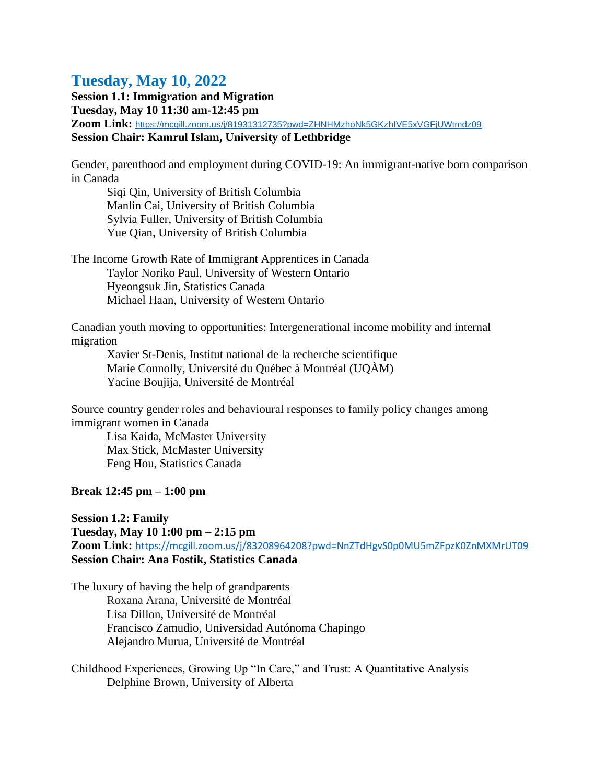# **Tuesday, May 10, 2022**

**Session 1.1: Immigration and Migration Tuesday, May 10 11:30 am-12:45 pm Zoom Link:** <https://mcgill.zoom.us/j/81931312735?pwd=ZHNHMzhoNk5GKzhIVE5xVGFjUWtmdz09> **Session Chair: Kamrul Islam, University of Lethbridge**

Gender, parenthood and employment during COVID-19: An immigrant-native born comparison in Canada

Siqi Qin, University of British Columbia Manlin Cai, University of British Columbia Sylvia Fuller, University of British Columbia Yue Qian, University of British Columbia

The Income Growth Rate of Immigrant Apprentices in Canada Taylor Noriko Paul, University of Western Ontario Hyeongsuk Jin, Statistics Canada Michael Haan, University of Western Ontario

Canadian youth moving to opportunities: Intergenerational income mobility and internal migration

Xavier St-Denis, Institut national de la recherche scientifique Marie Connolly, Université du Québec à Montréal (UQÀM) Yacine Boujija, Université de Montréal

Source country gender roles and behavioural responses to family policy changes among immigrant women in Canada

Lisa Kaida, McMaster University Max Stick, McMaster University Feng Hou, Statistics Canada

### **Break 12:45 pm – 1:00 pm**

**Session 1.2: Family Tuesday, May 10 1:00 pm – 2:15 pm Zoom Link:** <https://mcgill.zoom.us/j/83208964208?pwd=NnZTdHgvS0p0MU5mZFpzK0ZnMXMrUT09> **Session Chair: Ana Fostik, Statistics Canada**

The luxury of having the help of grandparents Roxana Arana, Université de Montréal Lisa Dillon, Université de Montréal Francisco Zamudio, Universidad Autónoma Chapingo Alejandro Murua, Université de Montréal

Childhood Experiences, Growing Up "In Care," and Trust: A Quantitative Analysis Delphine Brown, University of Alberta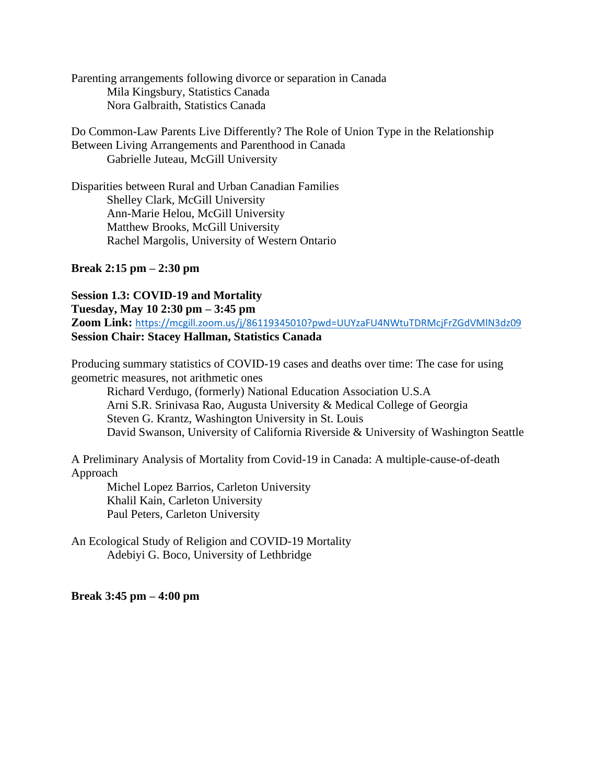Parenting arrangements following divorce or separation in Canada Mila Kingsbury, Statistics Canada Nora Galbraith, Statistics Canada

Do Common-Law Parents Live Differently? The Role of Union Type in the Relationship Between Living Arrangements and Parenthood in Canada Gabrielle Juteau, McGill University

Disparities between Rural and Urban Canadian Families Shelley Clark, McGill University Ann-Marie Helou, McGill University Matthew Brooks, McGill University Rachel Margolis, University of Western Ontario

#### **Break 2:15 pm – 2:30 pm**

#### **Session 1.3: COVID-19 and Mortality**

**Tuesday, May 10 2:30 pm – 3:45 pm**

Zoom Link: <https://mcgill.zoom.us/j/86119345010?pwd=UUYzaFU4NWtuTDRMcjFrZGdVMlN3dz09> **Session Chair: Stacey Hallman, Statistics Canada**

Producing summary statistics of COVID-19 cases and deaths over time: The case for using geometric measures, not arithmetic ones

Richard Verdugo, (formerly) National Education Association U.S.A Arni S.R. Srinivasa Rao, Augusta University & Medical College of Georgia Steven G. Krantz, Washington University in St. Louis David Swanson, University of California Riverside & University of Washington Seattle

A Preliminary Analysis of Mortality from Covid-19 in Canada: A multiple-cause-of-death Approach

Michel Lopez Barrios, Carleton University Khalil Kain, Carleton University Paul Peters, Carleton University

An Ecological Study of Religion and COVID-19 Mortality Adebiyi G. Boco, University of Lethbridge

#### **Break 3:45 pm – 4:00 pm**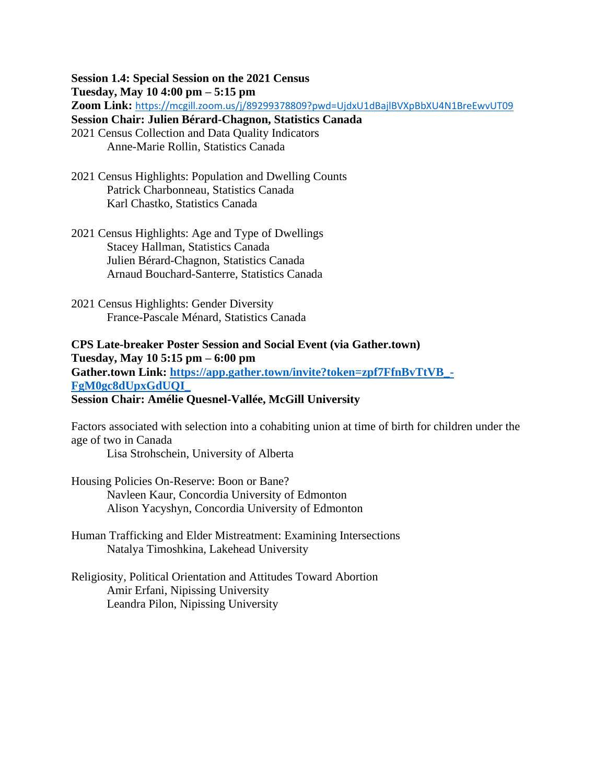**Session 1.4: Special Session on the 2021 Census Tuesday, May 10 4:00 pm – 5:15 pm Zoom Link:** <https://mcgill.zoom.us/j/89299378809?pwd=UjdxU1dBajlBVXpBbXU4N1BreEwvUT09> **Session Chair: Julien Bérard-Chagnon, Statistics Canada**

2021 Census Collection and Data Quality Indicators Anne-Marie Rollin, Statistics Canada

- 2021 Census Highlights: Population and Dwelling Counts Patrick Charbonneau, Statistics Canada Karl Chastko, Statistics Canada
- 2021 Census Highlights: Age and Type of Dwellings Stacey Hallman, Statistics Canada Julien Bérard-Chagnon, Statistics Canada Arnaud Bouchard-Santerre, Statistics Canada
- 2021 Census Highlights: Gender Diversity France-Pascale Ménard, Statistics Canada

**CPS Late-breaker Poster Session and Social Event (via Gather.town) Tuesday, May 10 5:15 pm – 6:00 pm Gather.town Link: [https://app.gather.town/invite?token=zpf7FfnBvTtVB\\_-](https://app.gather.town/invite?token=zpf7FfnBvTtVB_-FgM0gc8dUpxGdUQI_) [FgM0gc8dUpxGdUQI\\_](https://app.gather.town/invite?token=zpf7FfnBvTtVB_-FgM0gc8dUpxGdUQI_) Session Chair: Amélie Quesnel-Vallée, McGill University** 

Factors associated with selection into a cohabiting union at time of birth for children under the age of two in Canada

Lisa Strohschein, University of Alberta

Housing Policies On-Reserve: Boon or Bane? Navleen Kaur, Concordia University of Edmonton Alison Yacyshyn, Concordia University of Edmonton

Human Trafficking and Elder Mistreatment: Examining Intersections Natalya Timoshkina, Lakehead University

Religiosity, Political Orientation and Attitudes Toward Abortion Amir Erfani, Nipissing University Leandra Pilon, Nipissing University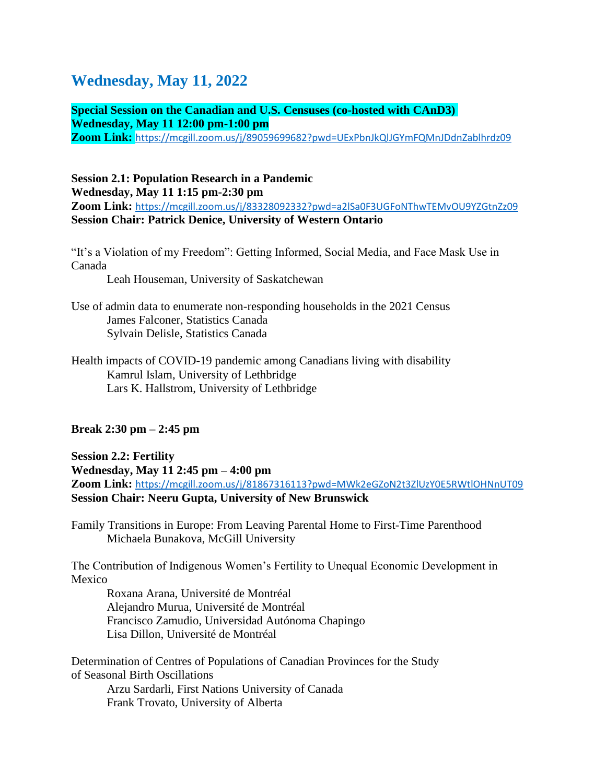# **Wednesday, May 11, 2022**

**Special Session on the Canadian and U.S. Censuses (co-hosted with CAnD3) Wednesday, May 11 12:00 pm-1:00 pm Zoom Link:** <https://mcgill.zoom.us/j/89059699682?pwd=UExPbnJkQlJGYmFQMnJDdnZablhrdz09>

### **Session 2.1: Population Research in a Pandemic Wednesday, May 11 1:15 pm-2:30 pm Zoom Link:** <https://mcgill.zoom.us/j/83328092332?pwd=a2lSa0F3UGFoNThwTEMvOU9YZGtnZz09> **Session Chair: Patrick Denice, University of Western Ontario**

"It's a Violation of my Freedom": Getting Informed, Social Media, and Face Mask Use in Canada

Leah Houseman, University of Saskatchewan

- Use of admin data to enumerate non-responding households in the 2021 Census James Falconer, Statistics Canada Sylvain Delisle, Statistics Canada
- Health impacts of COVID-19 pandemic among Canadians living with disability Kamrul Islam, University of Lethbridge Lars K. Hallstrom, University of Lethbridge

## **Break 2:30 pm – 2:45 pm**

**Session 2.2: Fertility Wednesday, May 11 2:45 pm – 4:00 pm Zoom Link:** <https://mcgill.zoom.us/j/81867316113?pwd=MWk2eGZoN2t3ZlUzY0E5RWtlOHNnUT09> **Session Chair: Neeru Gupta, University of New Brunswick**

Family Transitions in Europe: From Leaving Parental Home to First-Time Parenthood Michaela Bunakova, McGill University

The Contribution of Indigenous Women's Fertility to Unequal Economic Development in Mexico

Roxana Arana, Université de Montréal Alejandro Murua, Université de Montréal Francisco Zamudio, Universidad Autónoma Chapingo Lisa Dillon, Université de Montréal

Determination of Centres of Populations of Canadian Provinces for the Study of Seasonal Birth Oscillations Arzu Sardarli, First Nations University of Canada Frank Trovato, University of Alberta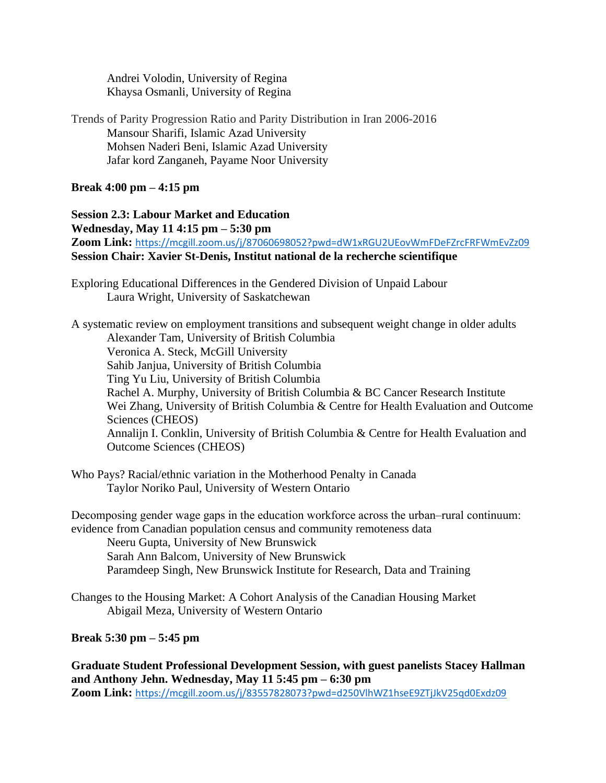Andrei Volodin, University of Regina Khaysa Osmanli, University of Regina

Trends of Parity Progression Ratio and Parity Distribution in Iran 2006-2016 Mansour Sharifi, Islamic Azad University Mohsen Naderi Beni, Islamic Azad University Jafar kord Zanganeh, Payame Noor University

### **Break 4:00 pm – 4:15 pm**

**Session 2.3: Labour Market and Education Wednesday, May 11 4:15 pm – 5:30 pm** Zoom Link: <https://mcgill.zoom.us/j/87060698052?pwd=dW1xRGU2UEovWmFDeFZrcFRFWmEvZz09> **Session Chair: Xavier St-Denis, Institut national de la recherche scientifique**

Exploring Educational Differences in the Gendered Division of Unpaid Labour Laura Wright, University of Saskatchewan

A systematic review on employment transitions and subsequent weight change in older adults Alexander Tam, University of British Columbia Veronica A. Steck, McGill University Sahib Janjua, University of British Columbia Ting Yu Liu, University of British Columbia Rachel A. Murphy, University of British Columbia & BC Cancer Research Institute Wei Zhang, University of British Columbia & Centre for Health Evaluation and Outcome Sciences (CHEOS) Annalijn I. Conklin, University of British Columbia & Centre for Health Evaluation and Outcome Sciences (CHEOS)

Who Pays? Racial/ethnic variation in the Motherhood Penalty in Canada Taylor Noriko Paul, University of Western Ontario

Decomposing gender wage gaps in the education workforce across the urban–rural continuum: evidence from Canadian population census and community remoteness data Neeru Gupta, University of New Brunswick Sarah Ann Balcom, University of New Brunswick Paramdeep Singh, New Brunswick Institute for Research, Data and Training

Changes to the Housing Market: A Cohort Analysis of the Canadian Housing Market Abigail Meza, University of Western Ontario

### **Break 5:30 pm – 5:45 pm**

**Graduate Student Professional Development Session, with guest panelists Stacey Hallman and Anthony Jehn. Wednesday, May 11 5:45 pm – 6:30 pm Zoom Link:** <https://mcgill.zoom.us/j/83557828073?pwd=d250VlhWZ1hseE9ZTjJkV25qd0Exdz09>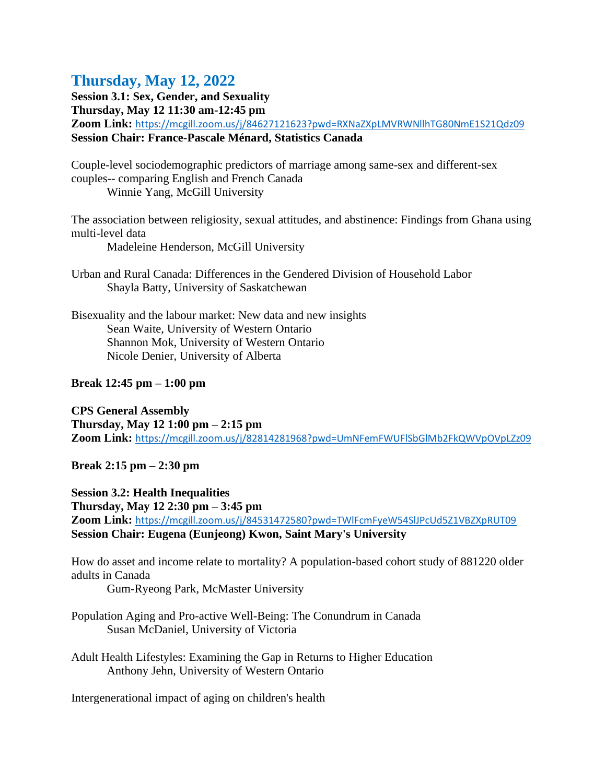# **Thursday, May 12, 2022**

**Session 3.1: Sex, Gender, and Sexuality** 

**Thursday, May 12 11:30 am-12:45 pm**

**Zoom Link:** <https://mcgill.zoom.us/j/84627121623?pwd=RXNaZXpLMVRWNllhTG80NmE1S21Qdz09> **Session Chair: France-Pascale Ménard, Statistics Canada**

Couple-level sociodemographic predictors of marriage among same-sex and different-sex couples-- comparing English and French Canada Winnie Yang, McGill University

The association between religiosity, sexual attitudes, and abstinence: Findings from Ghana using multi-level data

Madeleine Henderson, McGill University

Urban and Rural Canada: Differences in the Gendered Division of Household Labor Shayla Batty, University of Saskatchewan

Bisexuality and the labour market: New data and new insights Sean Waite, University of Western Ontario Shannon Mok, University of Western Ontario Nicole Denier, University of Alberta

## **Break 12:45 pm – 1:00 pm**

**CPS General Assembly Thursday, May 12 1:00 pm – 2:15 pm Zoom Link:** <https://mcgill.zoom.us/j/82814281968?pwd=UmNFemFWUFlSbGlMb2FkQWVpOVpLZz09>

**Break 2:15 pm – 2:30 pm** 

**Session 3.2: Health Inequalities Thursday, May 12 2:30 pm – 3:45 pm Zoom Link:** <https://mcgill.zoom.us/j/84531472580?pwd=TWlFcmFyeW54SlJPcUd5Z1VBZXpRUT09> **Session Chair: Eugena (Eunjeong) Kwon, Saint Mary's University**

How do asset and income relate to mortality? A population-based cohort study of 881220 older adults in Canada

Gum-Ryeong Park, McMaster University

Population Aging and Pro-active Well-Being: The Conundrum in Canada Susan McDaniel, University of Victoria

Adult Health Lifestyles: Examining the Gap in Returns to Higher Education Anthony Jehn, University of Western Ontario

Intergenerational impact of aging on children's health